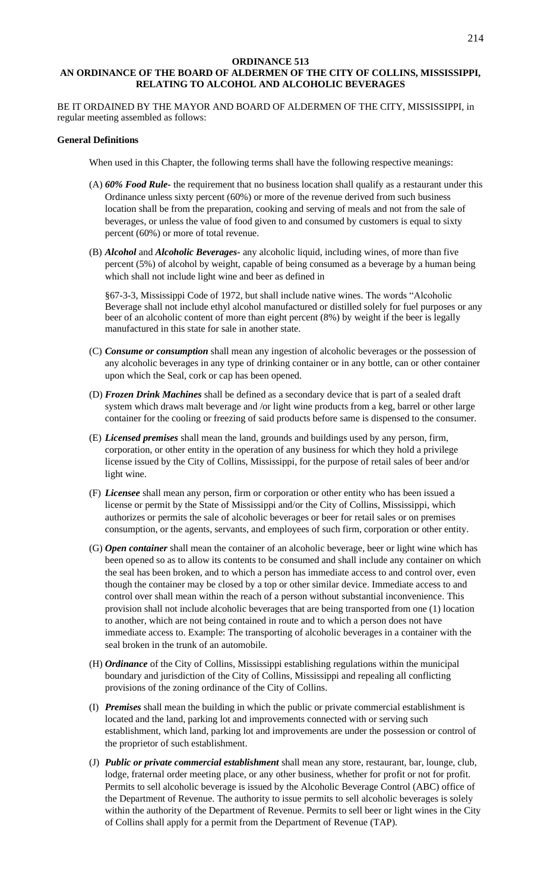#### **ORDINANCE 513 AN ORDINANCE OF THE BOARD OF ALDERMEN OF THE CITY OF COLLINS, MISSISSIPPI, RELATING TO ALCOHOL AND ALCOHOLIC BEVERAGES**

BE IT ORDAINED BY THE MAYOR AND BOARD OF ALDERMEN OF THE CITY, MISSISSIPPI, in regular meeting assembled as follows:

# **General Definitions**

When used in this Chapter, the following terms shall have the following respective meanings:

- (A) *60% Food Rule-* the requirement that no business location shall qualify as a restaurant under this Ordinance unless sixty percent (60%) or more of the revenue derived from such business location shall be from the preparation, cooking and serving of meals and not from the sale of beverages, or unless the value of food given to and consumed by customers is equal to sixty percent (60%) or more of total revenue.
- (B) *Alcohol* and *Alcoholic Beverages-* any alcoholic liquid, including wines, of more than five percent (5%) of alcohol by weight, capable of being consumed as a beverage by a human being which shall not include light wine and beer as defined in

§67-3-3, Mississippi Code of 1972, but shall include native wines. The words "Alcoholic Beverage shall not include ethyl alcohol manufactured or distilled solely for fuel purposes or any beer of an alcoholic content of more than eight percent (8%) by weight if the beer is legally manufactured in this state for sale in another state.

- (C) *Consume or consumption* shall mean any ingestion of alcoholic beverages or the possession of any alcoholic beverages in any type of drinking container or in any bottle, can or other container upon which the Seal, cork or cap has been opened.
- (D) *Frozen Drink Machines* shall be defined as a secondary device that is part of a sealed draft system which draws malt beverage and /or light wine products from a keg, barrel or other large container for the cooling or freezing of said products before same is dispensed to the consumer.
- (E) *Licensed premises* shall mean the land, grounds and buildings used by any person, firm, corporation, or other entity in the operation of any business for which they hold a privilege license issued by the City of Collins, Mississippi, for the purpose of retail sales of beer and/or light wine.
- (F) *Licensee* shall mean any person, firm or corporation or other entity who has been issued a license or permit by the State of Mississippi and/or the City of Collins, Mississippi, which authorizes or permits the sale of alcoholic beverages or beer for retail sales or on premises consumption, or the agents, servants, and employees of such firm, corporation or other entity.
- (G) *Open container* shall mean the container of an alcoholic beverage, beer or light wine which has been opened so as to allow its contents to be consumed and shall include any container on which the seal has been broken, and to which a person has immediate access to and control over, even though the container may be closed by a top or other similar device. Immediate access to and control over shall mean within the reach of a person without substantial inconvenience. This provision shall not include alcoholic beverages that are being transported from one (1) location to another, which are not being contained in route and to which a person does not have immediate access to. Example: The transporting of alcoholic beverages in a container with the seal broken in the trunk of an automobile.
- (H) *Ordinance* of the City of Collins, Mississippi establishing regulations within the municipal boundary and jurisdiction of the City of Collins, Mississippi and repealing all conflicting provisions of the zoning ordinance of the City of Collins.
- (I) *Premises* shall mean the building in which the public or private commercial establishment is located and the land, parking lot and improvements connected with or serving such establishment, which land, parking lot and improvements are under the possession or control of the proprietor of such establishment.
- (J) *Public or private commercial establishment* shall mean any store, restaurant, bar, lounge, club, lodge, fraternal order meeting place, or any other business, whether for profit or not for profit. Permits to sell alcoholic beverage is issued by the Alcoholic Beverage Control (ABC) office of the Department of Revenue. The authority to issue permits to sell alcoholic beverages is solely within the authority of the Department of Revenue. Permits to sell beer or light wines in the City of Collins shall apply for a permit from the Department of Revenue (TAP).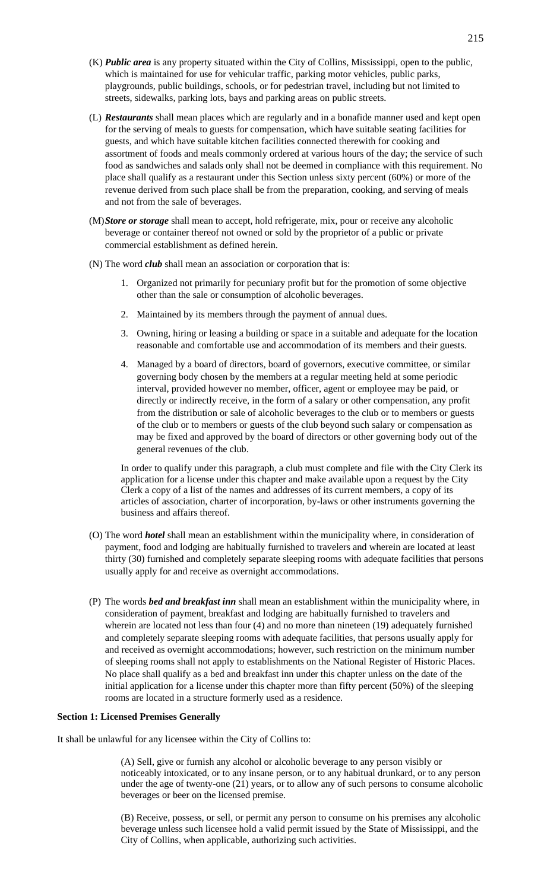- (K) *Public area* is any property situated within the City of Collins, Mississippi, open to the public, which is maintained for use for vehicular traffic, parking motor vehicles, public parks, playgrounds, public buildings, schools, or for pedestrian travel, including but not limited to streets, sidewalks, parking lots, bays and parking areas on public streets.
- (L) *Restaurants* shall mean places which are regularly and in a bonafide manner used and kept open for the serving of meals to guests for compensation, which have suitable seating facilities for guests, and which have suitable kitchen facilities connected therewith for cooking and assortment of foods and meals commonly ordered at various hours of the day; the service of such food as sandwiches and salads only shall not be deemed in compliance with this requirement. No place shall qualify as a restaurant under this Section unless sixty percent (60%) or more of the revenue derived from such place shall be from the preparation, cooking, and serving of meals and not from the sale of beverages.
- (M)*Store or storage* shall mean to accept, hold refrigerate, mix, pour or receive any alcoholic beverage or container thereof not owned or sold by the proprietor of a public or private commercial establishment as defined herein.
- (N) The word *club* shall mean an association or corporation that is:
	- 1. Organized not primarily for pecuniary profit but for the promotion of some objective other than the sale or consumption of alcoholic beverages.
	- 2. Maintained by its members through the payment of annual dues.
	- 3. Owning, hiring or leasing a building or space in a suitable and adequate for the location reasonable and comfortable use and accommodation of its members and their guests.
	- 4. Managed by a board of directors, board of governors, executive committee, or similar governing body chosen by the members at a regular meeting held at some periodic interval, provided however no member, officer, agent or employee may be paid, or directly or indirectly receive, in the form of a salary or other compensation, any profit from the distribution or sale of alcoholic beverages to the club or to members or guests of the club or to members or guests of the club beyond such salary or compensation as may be fixed and approved by the board of directors or other governing body out of the general revenues of the club.

In order to qualify under this paragraph, a club must complete and file with the City Clerk its application for a license under this chapter and make available upon a request by the City Clerk a copy of a list of the names and addresses of its current members, a copy of its articles of association, charter of incorporation, by-laws or other instruments governing the business and affairs thereof.

- (O) The word *hotel* shall mean an establishment within the municipality where, in consideration of payment, food and lodging are habitually furnished to travelers and wherein are located at least thirty (30) furnished and completely separate sleeping rooms with adequate facilities that persons usually apply for and receive as overnight accommodations.
- (P) The words *bed and breakfast inn* shall mean an establishment within the municipality where, in consideration of payment, breakfast and lodging are habitually furnished to travelers and wherein are located not less than four (4) and no more than nineteen (19) adequately furnished and completely separate sleeping rooms with adequate facilities, that persons usually apply for and received as overnight accommodations; however, such restriction on the minimum number of sleeping rooms shall not apply to establishments on the National Register of Historic Places. No place shall qualify as a bed and breakfast inn under this chapter unless on the date of the initial application for a license under this chapter more than fifty percent (50%) of the sleeping rooms are located in a structure formerly used as a residence.

#### **Section 1: Licensed Premises Generally**

It shall be unlawful for any licensee within the City of Collins to:

(A) Sell, give or furnish any alcohol or alcoholic beverage to any person visibly or noticeably intoxicated, or to any insane person, or to any habitual drunkard, or to any person under the age of twenty-one (21) years, or to allow any of such persons to consume alcoholic beverages or beer on the licensed premise.

(B) Receive, possess, or sell, or permit any person to consume on his premises any alcoholic beverage unless such licensee hold a valid permit issued by the State of Mississippi, and the City of Collins, when applicable, authorizing such activities.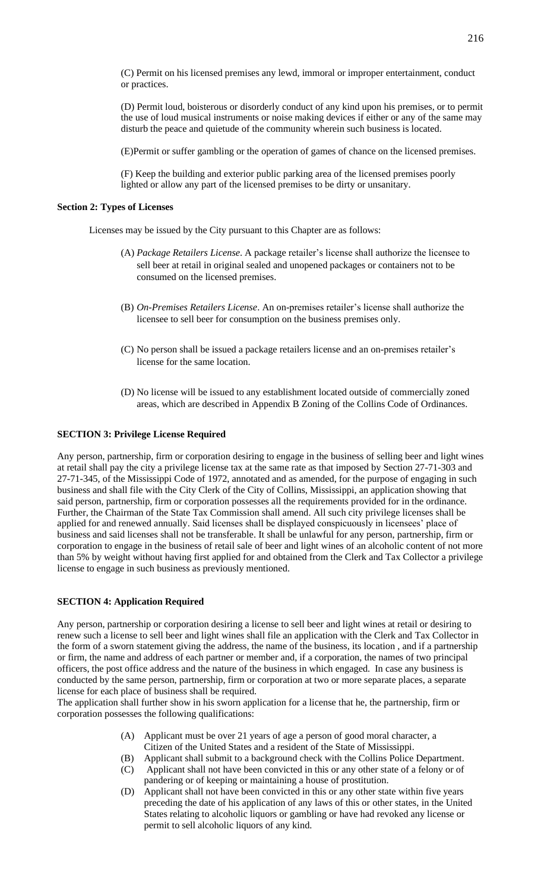(C) Permit on his licensed premises any lewd, immoral or improper entertainment, conduct or practices.

(D) Permit loud, boisterous or disorderly conduct of any kind upon his premises, or to permit the use of loud musical instruments or noise making devices if either or any of the same may disturb the peace and quietude of the community wherein such business is located.

(E)Permit or suffer gambling or the operation of games of chance on the licensed premises.

(F) Keep the building and exterior public parking area of the licensed premises poorly lighted or allow any part of the licensed premises to be dirty or unsanitary.

#### **Section 2: Types of Licenses**

Licenses may be issued by the City pursuant to this Chapter are as follows:

- (A) *Package Retailers License*. A package retailer's license shall authorize the licensee to sell beer at retail in original sealed and unopened packages or containers not to be consumed on the licensed premises.
- (B) *On-Premises Retailers License*. An on-premises retailer's license shall authorize the licensee to sell beer for consumption on the business premises only.
- (C) No person shall be issued a package retailers license and an on-premises retailer's license for the same location.
- (D) No license will be issued to any establishment located outside of commercially zoned areas, which are described in Appendix B Zoning of the Collins Code of Ordinances.

#### **SECTION 3: Privilege License Required**

Any person, partnership, firm or corporation desiring to engage in the business of selling beer and light wines at retail shall pay the city a privilege license tax at the same rate as that imposed by Section 27-71-303 and 27-71-345, of the Mississippi Code of 1972, annotated and as amended, for the purpose of engaging in such business and shall file with the City Clerk of the City of Collins, Mississippi, an application showing that said person, partnership, firm or corporation possesses all the requirements provided for in the ordinance. Further, the Chairman of the State Tax Commission shall amend. All such city privilege licenses shall be applied for and renewed annually. Said licenses shall be displayed conspicuously in licensees' place of business and said licenses shall not be transferable. It shall be unlawful for any person, partnership, firm or corporation to engage in the business of retail sale of beer and light wines of an alcoholic content of not more than 5% by weight without having first applied for and obtained from the Clerk and Tax Collector a privilege license to engage in such business as previously mentioned.

#### **SECTION 4: Application Required**

Any person, partnership or corporation desiring a license to sell beer and light wines at retail or desiring to renew such a license to sell beer and light wines shall file an application with the Clerk and Tax Collector in the form of a sworn statement giving the address, the name of the business, its location , and if a partnership or firm, the name and address of each partner or member and, if a corporation, the names of two principal officers, the post office address and the nature of the business in which engaged. In case any business is conducted by the same person, partnership, firm or corporation at two or more separate places, a separate license for each place of business shall be required.

The application shall further show in his sworn application for a license that he, the partnership, firm or corporation possesses the following qualifications:

- (A) Applicant must be over 21 years of age a person of good moral character, a Citizen of the United States and a resident of the State of Mississippi.
- (B) Applicant shall submit to a background check with the Collins Police Department.
- (C) Applicant shall not have been convicted in this or any other state of a felony or of pandering or of keeping or maintaining a house of prostitution.
- (D) Applicant shall not have been convicted in this or any other state within five years preceding the date of his application of any laws of this or other states, in the United States relating to alcoholic liquors or gambling or have had revoked any license or permit to sell alcoholic liquors of any kind.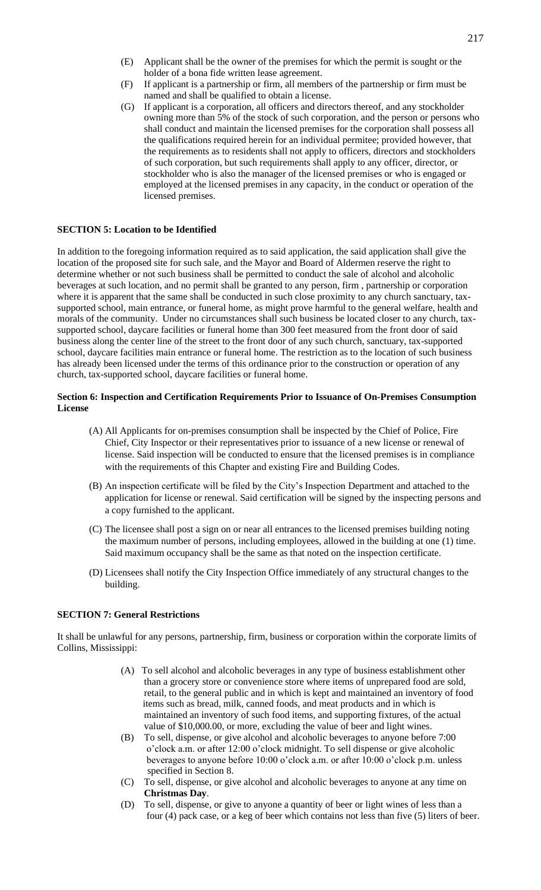- (E) Applicant shall be the owner of the premises for which the permit is sought or the holder of a bona fide written lease agreement.
- (F) If applicant is a partnership or firm, all members of the partnership or firm must be named and shall be qualified to obtain a license.
- (G) If applicant is a corporation, all officers and directors thereof, and any stockholder owning more than 5% of the stock of such corporation, and the person or persons who shall conduct and maintain the licensed premises for the corporation shall possess all the qualifications required herein for an individual permitee; provided however, that the requirements as to residents shall not apply to officers, directors and stockholders of such corporation, but such requirements shall apply to any officer, director, or stockholder who is also the manager of the licensed premises or who is engaged or employed at the licensed premises in any capacity, in the conduct or operation of the licensed premises.

# **SECTION 5: Location to be Identified**

In addition to the foregoing information required as to said application, the said application shall give the location of the proposed site for such sale, and the Mayor and Board of Aldermen reserve the right to determine whether or not such business shall be permitted to conduct the sale of alcohol and alcoholic beverages at such location, and no permit shall be granted to any person, firm , partnership or corporation where it is apparent that the same shall be conducted in such close proximity to any church sanctuary, taxsupported school, main entrance, or funeral home, as might prove harmful to the general welfare, health and morals of the community. Under no circumstances shall such business be located closer to any church, taxsupported school, daycare facilities or funeral home than 300 feet measured from the front door of said business along the center line of the street to the front door of any such church, sanctuary, tax-supported school, daycare facilities main entrance or funeral home. The restriction as to the location of such business has already been licensed under the terms of this ordinance prior to the construction or operation of any church, tax-supported school, daycare facilities or funeral home.

#### **Section 6: Inspection and Certification Requirements Prior to Issuance of On-Premises Consumption License**

- (A) All Applicants for on-premises consumption shall be inspected by the Chief of Police, Fire Chief, City Inspector or their representatives prior to issuance of a new license or renewal of license. Said inspection will be conducted to ensure that the licensed premises is in compliance with the requirements of this Chapter and existing Fire and Building Codes.
- (B) An inspection certificate will be filed by the City's Inspection Department and attached to the application for license or renewal. Said certification will be signed by the inspecting persons and a copy furnished to the applicant.
- (C) The licensee shall post a sign on or near all entrances to the licensed premises building noting the maximum number of persons, including employees, allowed in the building at one (1) time. Said maximum occupancy shall be the same as that noted on the inspection certificate.
- (D) Licensees shall notify the City Inspection Office immediately of any structural changes to the building.

#### **SECTION 7: General Restrictions**

It shall be unlawful for any persons, partnership, firm, business or corporation within the corporate limits of Collins, Mississippi:

- (A) To sell alcohol and alcoholic beverages in any type of business establishment other than a grocery store or convenience store where items of unprepared food are sold, retail, to the general public and in which is kept and maintained an inventory of food items such as bread, milk, canned foods, and meat products and in which is maintained an inventory of such food items, and supporting fixtures, of the actual value of \$10,000.00, or more, excluding the value of beer and light wines.
- (B) To sell, dispense, or give alcohol and alcoholic beverages to anyone before 7:00 o'clock a.m. or after 12:00 o'clock midnight. To sell dispense or give alcoholic beverages to anyone before 10:00 o'clock a.m. or after 10:00 o'clock p.m. unless specified in Section 8.
- (C) To sell, dispense, or give alcohol and alcoholic beverages to anyone at any time on **Christmas Day**.
- (D) To sell, dispense, or give to anyone a quantity of beer or light wines of less than a four (4) pack case, or a keg of beer which contains not less than five (5) liters of beer.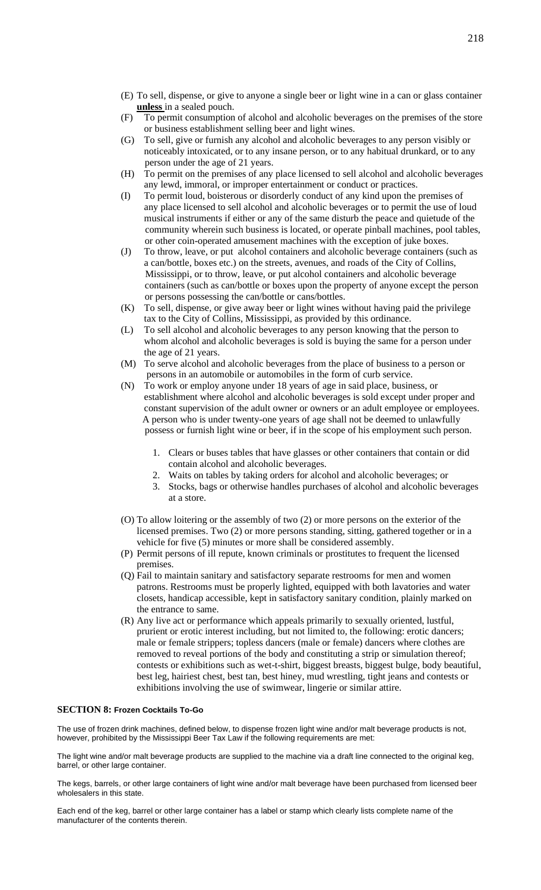- (E) To sell, dispense, or give to anyone a single beer or light wine in a can or glass container **unless** in a sealed pouch.
- (F) To permit consumption of alcohol and alcoholic beverages on the premises of the store or business establishment selling beer and light wines.
- (G) To sell, give or furnish any alcohol and alcoholic beverages to any person visibly or noticeably intoxicated, or to any insane person, or to any habitual drunkard, or to any person under the age of 21 years.
- (H) To permit on the premises of any place licensed to sell alcohol and alcoholic beverages any lewd, immoral, or improper entertainment or conduct or practices.
- (I) To permit loud, boisterous or disorderly conduct of any kind upon the premises of any place licensed to sell alcohol and alcoholic beverages or to permit the use of loud musical instruments if either or any of the same disturb the peace and quietude of the community wherein such business is located, or operate pinball machines, pool tables, or other coin-operated amusement machines with the exception of juke boxes.
- (J) To throw, leave, or put alcohol containers and alcoholic beverage containers (such as a can/bottle, boxes etc.) on the streets, avenues, and roads of the City of Collins, Mississippi, or to throw, leave, or put alcohol containers and alcoholic beverage containers (such as can/bottle or boxes upon the property of anyone except the person or persons possessing the can/bottle or cans/bottles.
- (K) To sell, dispense, or give away beer or light wines without having paid the privilege tax to the City of Collins, Mississippi, as provided by this ordinance.
- (L) To sell alcohol and alcoholic beverages to any person knowing that the person to whom alcohol and alcoholic beverages is sold is buying the same for a person under the age of 21 years.
- (M) To serve alcohol and alcoholic beverages from the place of business to a person or persons in an automobile or automobiles in the form of curb service.
- (N) To work or employ anyone under 18 years of age in said place, business, or establishment where alcohol and alcoholic beverages is sold except under proper and constant supervision of the adult owner or owners or an adult employee or employees. A person who is under twenty-one years of age shall not be deemed to unlawfully possess or furnish light wine or beer, if in the scope of his employment such person.
	- 1. Clears or buses tables that have glasses or other containers that contain or did contain alcohol and alcoholic beverages.
	- 2. Waits on tables by taking orders for alcohol and alcoholic beverages; or
	- 3. Stocks, bags or otherwise handles purchases of alcohol and alcoholic beverages at a store.
- (O) To allow loitering or the assembly of two (2) or more persons on the exterior of the licensed premises. Two (2) or more persons standing, sitting, gathered together or in a vehicle for five (5) minutes or more shall be considered assembly.
- (P) Permit persons of ill repute, known criminals or prostitutes to frequent the licensed premises.
- (Q) Fail to maintain sanitary and satisfactory separate restrooms for men and women patrons. Restrooms must be properly lighted, equipped with both lavatories and water closets, handicap accessible, kept in satisfactory sanitary condition, plainly marked on the entrance to same.
- (R) Any live act or performance which appeals primarily to sexually oriented, lustful, prurient or erotic interest including, but not limited to, the following: erotic dancers; male or female strippers; topless dancers (male or female) dancers where clothes are removed to reveal portions of the body and constituting a strip or simulation thereof; contests or exhibitions such as wet-t-shirt, biggest breasts, biggest bulge, body beautiful, best leg, hairiest chest, best tan, best hiney, mud wrestling, tight jeans and contests or exhibitions involving the use of swimwear, lingerie or similar attire.

#### **SECTION 8: Frozen Cocktails To-Go**

The use of frozen drink machines, defined below, to dispense frozen light wine and/or malt beverage products is not, however, prohibited by the Mississippi Beer Tax Law if the following requirements are met:

The light wine and/or malt beverage products are supplied to the machine via a draft line connected to the original keg, barrel, or other large container.

The kegs, barrels, or other large containers of light wine and/or malt beverage have been purchased from licensed beer wholesalers in this state.

Each end of the keg, barrel or other large container has a label or stamp which clearly lists complete name of the manufacturer of the contents therein.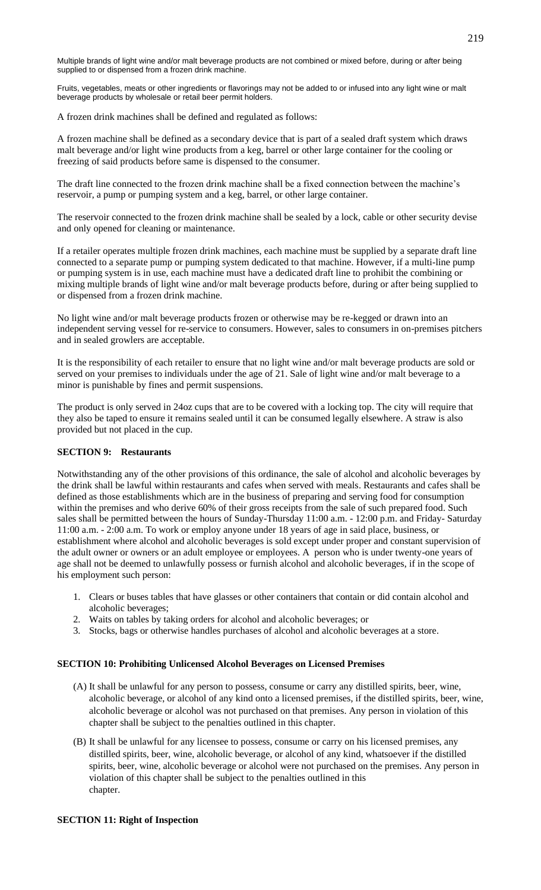Multiple brands of light wine and/or malt beverage products are not combined or mixed before, during or after being supplied to or dispensed from a frozen drink machine.

Fruits, vegetables, meats or other ingredients or flavorings may not be added to or infused into any light wine or malt beverage products by wholesale or retail beer permit holders.

A frozen drink machines shall be defined and regulated as follows:

A frozen machine shall be defined as a secondary device that is part of a sealed draft system which draws malt beverage and/or light wine products from a keg, barrel or other large container for the cooling or freezing of said products before same is dispensed to the consumer.

The draft line connected to the frozen drink machine shall be a fixed connection between the machine's reservoir, a pump or pumping system and a keg, barrel, or other large container.

The reservoir connected to the frozen drink machine shall be sealed by a lock, cable or other security devise and only opened for cleaning or maintenance.

If a retailer operates multiple frozen drink machines, each machine must be supplied by a separate draft line connected to a separate pump or pumping system dedicated to that machine. However, if a multi-line pump or pumping system is in use, each machine must have a dedicated draft line to prohibit the combining or mixing multiple brands of light wine and/or malt beverage products before, during or after being supplied to or dispensed from a frozen drink machine.

No light wine and/or malt beverage products frozen or otherwise may be re-kegged or drawn into an independent serving vessel for re-service to consumers. However, sales to consumers in on-premises pitchers and in sealed growlers are acceptable.

It is the responsibility of each retailer to ensure that no light wine and/or malt beverage products are sold or served on your premises to individuals under the age of 21. Sale of light wine and/or malt beverage to a minor is punishable by fines and permit suspensions.

The product is only served in 24oz cups that are to be covered with a locking top. The city will require that they also be taped to ensure it remains sealed until it can be consumed legally elsewhere. A straw is also provided but not placed in the cup.

## **SECTION 9: Restaurants**

Notwithstanding any of the other provisions of this ordinance, the sale of alcohol and alcoholic beverages by the drink shall be lawful within restaurants and cafes when served with meals. Restaurants and cafes shall be defined as those establishments which are in the business of preparing and serving food for consumption within the premises and who derive 60% of their gross receipts from the sale of such prepared food. Such sales shall be permitted between the hours of Sunday-Thursday 11:00 a.m. - 12:00 p.m. and Friday- Saturday 11:00 a.m. - 2:00 a.m. To work or employ anyone under 18 years of age in said place, business, or establishment where alcohol and alcoholic beverages is sold except under proper and constant supervision of the adult owner or owners or an adult employee or employees. A person who is under twenty-one years of age shall not be deemed to unlawfully possess or furnish alcohol and alcoholic beverages, if in the scope of his employment such person:

- 1. Clears or buses tables that have glasses or other containers that contain or did contain alcohol and alcoholic beverages;
- 2. Waits on tables by taking orders for alcohol and alcoholic beverages; or
- 3. Stocks, bags or otherwise handles purchases of alcohol and alcoholic beverages at a store.

## **SECTION 10: Prohibiting Unlicensed Alcohol Beverages on Licensed Premises**

- (A) It shall be unlawful for any person to possess, consume or carry any distilled spirits, beer, wine, alcoholic beverage, or alcohol of any kind onto a licensed premises, if the distilled spirits, beer, wine, alcoholic beverage or alcohol was not purchased on that premises. Any person in violation of this chapter shall be subject to the penalties outlined in this chapter.
- (B) It shall be unlawful for any licensee to possess, consume or carry on his licensed premises, any distilled spirits, beer, wine, alcoholic beverage, or alcohol of any kind, whatsoever if the distilled spirits, beer, wine, alcoholic beverage or alcohol were not purchased on the premises. Any person in violation of this chapter shall be subject to the penalties outlined in this chapter.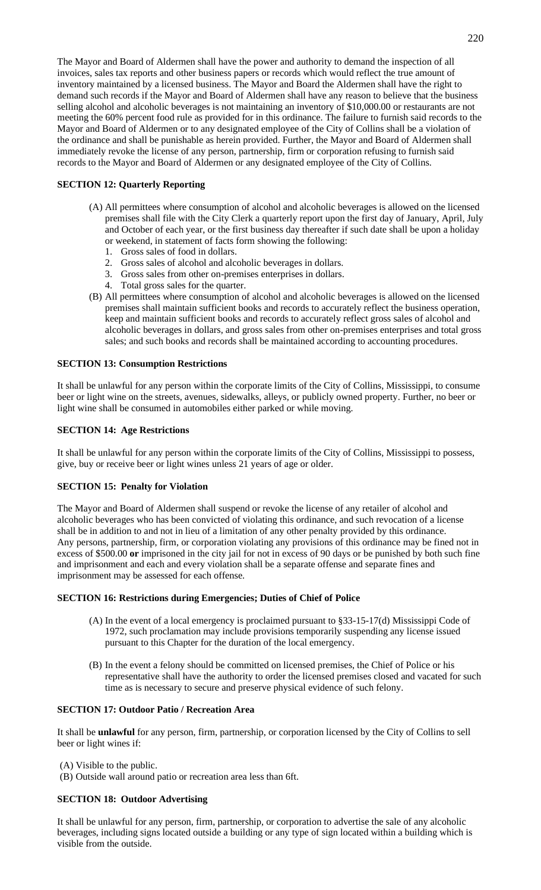The Mayor and Board of Aldermen shall have the power and authority to demand the inspection of all invoices, sales tax reports and other business papers or records which would reflect the true amount of inventory maintained by a licensed business. The Mayor and Board the Aldermen shall have the right to demand such records if the Mayor and Board of Aldermen shall have any reason to believe that the business selling alcohol and alcoholic beverages is not maintaining an inventory of \$10,000.00 or restaurants are not meeting the 60% percent food rule as provided for in this ordinance. The failure to furnish said records to the Mayor and Board of Aldermen or to any designated employee of the City of Collins shall be a violation of the ordinance and shall be punishable as herein provided. Further, the Mayor and Board of Aldermen shall immediately revoke the license of any person, partnership, firm or corporation refusing to furnish said records to the Mayor and Board of Aldermen or any designated employee of the City of Collins.

# **SECTION 12: Quarterly Reporting**

- (A) All permittees where consumption of alcohol and alcoholic beverages is allowed on the licensed premises shall file with the City Clerk a quarterly report upon the first day of January, April, July and October of each year, or the first business day thereafter if such date shall be upon a holiday or weekend, in statement of facts form showing the following:
	- 1. Gross sales of food in dollars.
	- 2. Gross sales of alcohol and alcoholic beverages in dollars.
	- 3. Gross sales from other on-premises enterprises in dollars.
	- 4. Total gross sales for the quarter.
- (B) All permittees where consumption of alcohol and alcoholic beverages is allowed on the licensed premises shall maintain sufficient books and records to accurately reflect the business operation, keep and maintain sufficient books and records to accurately reflect gross sales of alcohol and alcoholic beverages in dollars, and gross sales from other on-premises enterprises and total gross sales; and such books and records shall be maintained according to accounting procedures.

## **SECTION 13: Consumption Restrictions**

It shall be unlawful for any person within the corporate limits of the City of Collins, Mississippi, to consume beer or light wine on the streets, avenues, sidewalks, alleys, or publicly owned property. Further, no beer or light wine shall be consumed in automobiles either parked or while moving.

# **SECTION 14: Age Restrictions**

It shall be unlawful for any person within the corporate limits of the City of Collins, Mississippi to possess, give, buy or receive beer or light wines unless 21 years of age or older.

## **SECTION 15: Penalty for Violation**

The Mayor and Board of Aldermen shall suspend or revoke the license of any retailer of alcohol and alcoholic beverages who has been convicted of violating this ordinance, and such revocation of a license shall be in addition to and not in lieu of a limitation of any other penalty provided by this ordinance. Any persons, partnership, firm, or corporation violating any provisions of this ordinance may be fined not in excess of \$500.00 **or** imprisoned in the city jail for not in excess of 90 days or be punished by both such fine and imprisonment and each and every violation shall be a separate offense and separate fines and imprisonment may be assessed for each offense.

## **SECTION 16: Restrictions during Emergencies; Duties of Chief of Police**

- (A) In the event of a local emergency is proclaimed pursuant to §33-15-17(d) Mississippi Code of 1972, such proclamation may include provisions temporarily suspending any license issued pursuant to this Chapter for the duration of the local emergency.
- (B) In the event a felony should be committed on licensed premises, the Chief of Police or his representative shall have the authority to order the licensed premises closed and vacated for such time as is necessary to secure and preserve physical evidence of such felony.

## **SECTION 17: Outdoor Patio / Recreation Area**

It shall be **unlawful** for any person, firm, partnership, or corporation licensed by the City of Collins to sell beer or light wines if:

- (A) Visible to the public.
- (B) Outside wall around patio or recreation area less than 6ft.

# **SECTION 18: Outdoor Advertising**

It shall be unlawful for any person, firm, partnership, or corporation to advertise the sale of any alcoholic beverages, including signs located outside a building or any type of sign located within a building which is visible from the outside.